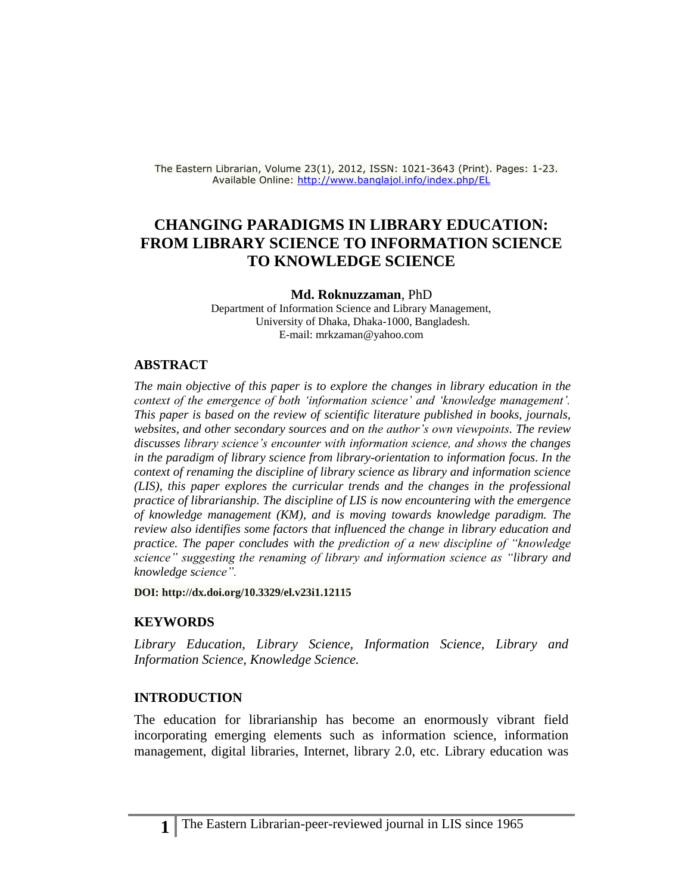The Eastern Librarian, Volume 23(1), 2012, ISSN: 1021-3643 (Print). Pages: 1-23. Available Online:<http://www.banglajol.info/index.php/EL>

# **CHANGING PARADIGMS IN LIBRARY EDUCATION: FROM LIBRARY SCIENCE TO INFORMATION SCIENCE TO KNOWLEDGE SCIENCE**

#### **Md. Roknuzzaman**, PhD

Department of Information Science and Library Management, University of Dhaka, Dhaka-1000, Bangladesh. E-mail: mrkzaman@yahoo.com

#### **ABSTRACT**

*The main objective of this paper is to explore the changes in library education in the context of the emergence of both 'information science' and 'knowledge management'. This paper is based on the review of scientific literature published in books, journals, websites, and other secondary sources and on the author's own viewpoints. The review discusses library science's encounter with information science, and shows the changes in the paradigm of library science from library-orientation to information focus. In the context of renaming the discipline of library science as library and information science (LIS), this paper explores the curricular trends and the changes in the professional practice of librarianship. The discipline of LIS is now encountering with the emergence of knowledge management (KM), and is moving towards knowledge paradigm. The review also identifies some factors that influenced the change in library education and practice. The paper concludes with the prediction of a new discipline of "knowledge science" suggesting the renaming of library and information science as "library and knowledge science".* 

**DOI:<http://dx.doi.org/10.3329/el.v23i1.12115>**

#### **KEYWORDS**

*Library Education, Library Science, Information Science, Library and Information Science, Knowledge Science.*

#### **INTRODUCTION**

The education for librarianship has become an enormously vibrant field incorporating emerging elements such as information science, information management, digital libraries, Internet, library 2.0, etc. Library education was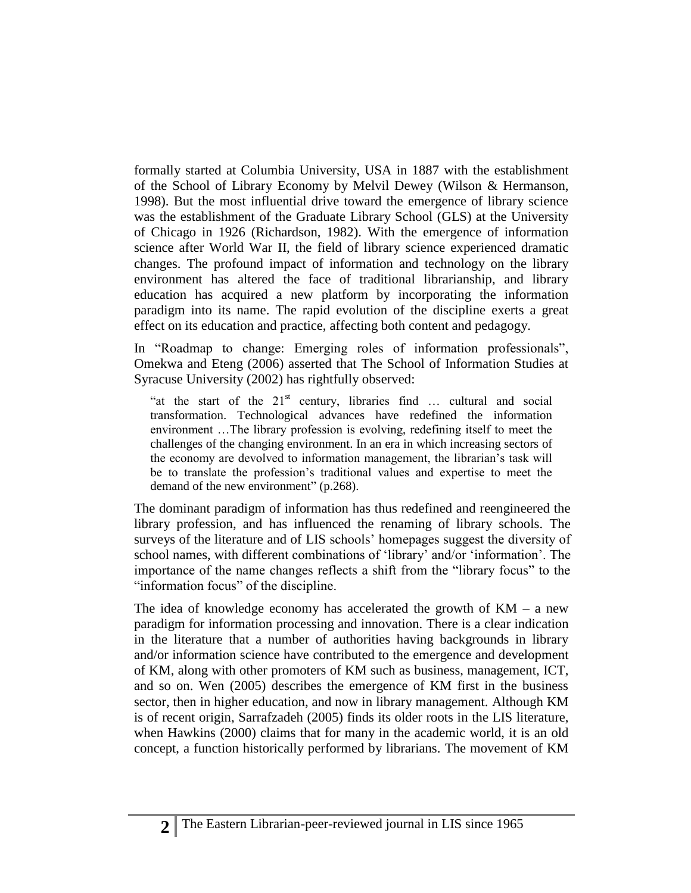formally started at Columbia University, USA in 1887 with the establishment of the School of Library Economy by Melvil Dewey (Wilson & Hermanson, 1998). But the most influential drive toward the emergence of library science was the establishment of the Graduate Library School (GLS) at the University of Chicago in 1926 (Richardson, 1982). With the emergence of information science after World War II, the field of library science experienced dramatic changes. The profound impact of information and technology on the library environment has altered the face of traditional librarianship, and library education has acquired a new platform by incorporating the information paradigm into its name. The rapid evolution of the discipline exerts a great effect on its education and practice, affecting both content and pedagogy.

In "Roadmap to change: Emerging roles of information professionals", Omekwa and Eteng (2006) asserted that The School of Information Studies at Syracuse University (2002) has rightfully observed:

"at the start of the  $21<sup>st</sup>$  century, libraries find ... cultural and social transformation. Technological advances have redefined the information environment …The library profession is evolving, redefining itself to meet the challenges of the changing environment. In an era in which increasing sectors of the economy are devolved to information management, the librarian's task will be to translate the profession's traditional values and expertise to meet the demand of the new environment" (p.268).

The dominant paradigm of information has thus redefined and reengineered the library profession, and has influenced the renaming of library schools. The surveys of the literature and of LIS schools' homepages suggest the diversity of school names, with different combinations of 'library' and/or 'information'. The importance of the name changes reflects a shift from the "library focus" to the "information focus" of the discipline.

The idea of knowledge economy has accelerated the growth of  $KM - a$  new paradigm for information processing and innovation. There is a clear indication in the literature that a number of authorities having backgrounds in library and/or information science have contributed to the emergence and development of KM, along with other promoters of KM such as business, management, ICT, and so on. Wen (2005) describes the emergence of KM first in the business sector, then in higher education, and now in library management. Although KM is of recent origin, Sarrafzadeh (2005) finds its older roots in the LIS literature, when Hawkins (2000) claims that for many in the academic world, it is an old concept, a function historically performed by librarians. The movement of KM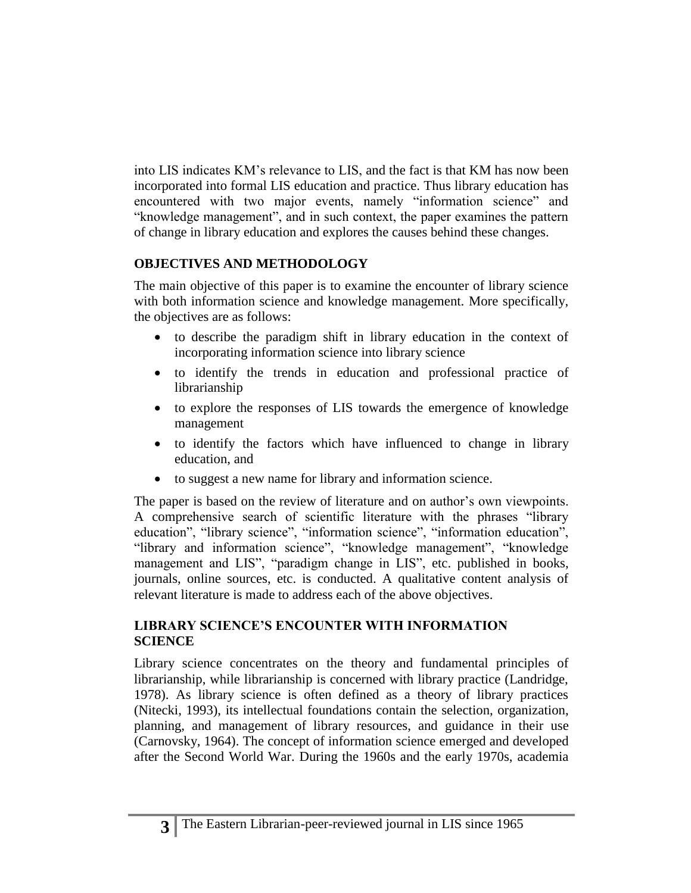into LIS indicates KM's relevance to LIS, and the fact is that KM has now been incorporated into formal LIS education and practice. Thus library education has encountered with two major events, namely "information science" and "knowledge management", and in such context, the paper examines the pattern of change in library education and explores the causes behind these changes.

## **OBJECTIVES AND METHODOLOGY**

The main objective of this paper is to examine the encounter of library science with both information science and knowledge management. More specifically, the objectives are as follows:

- to describe the paradigm shift in library education in the context of incorporating information science into library science
- to identify the trends in education and professional practice of librarianship
- to explore the responses of LIS towards the emergence of knowledge management
- to identify the factors which have influenced to change in library education, and
- to suggest a new name for library and information science.

The paper is based on the review of literature and on author's own viewpoints. A comprehensive search of scientific literature with the phrases "library education", "library science", "information science", "information education", "library and information science", "knowledge management", "knowledge management and LIS", "paradigm change in LIS", etc. published in books, journals, online sources, etc. is conducted. A qualitative content analysis of relevant literature is made to address each of the above objectives.

## **LIBRARY SCIENCE'S ENCOUNTER WITH INFORMATION SCIENCE**

Library science concentrates on the theory and fundamental principles of librarianship, while librarianship is concerned with library practice (Landridge, 1978). As library science is often defined as a theory of library practices (Nitecki, 1993), its intellectual foundations contain the selection, organization, planning, and management of library resources, and guidance in their use (Carnovsky, 1964). The concept of information science emerged and developed after the Second World War. During the 1960s and the early 1970s, academia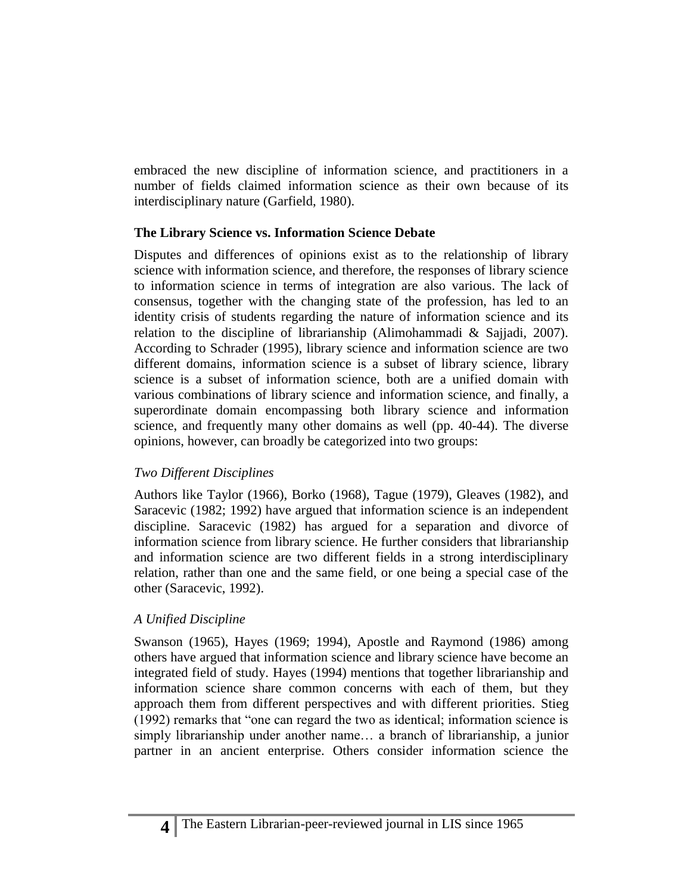embraced the new discipline of information science, and practitioners in a number of fields claimed information science as their own because of its interdisciplinary nature (Garfield, 1980).

#### **The Library Science vs. Information Science Debate**

Disputes and differences of opinions exist as to the relationship of library science with information science, and therefore, the responses of library science to information science in terms of integration are also various. The lack of consensus, together with the changing state of the profession, has led to an identity crisis of students regarding the nature of information science and its relation to the discipline of librarianship (Alimohammadi & Sajjadi, 2007). According to Schrader (1995), library science and information science are two different domains, information science is a subset of library science, library science is a subset of information science, both are a unified domain with various combinations of library science and information science, and finally, a superordinate domain encompassing both library science and information science, and frequently many other domains as well (pp. 40-44). The diverse opinions, however, can broadly be categorized into two groups:

### *Two Different Disciplines*

Authors like Taylor (1966), Borko (1968), Tague (1979), Gleaves (1982), and Saracevic (1982; 1992) have argued that information science is an independent discipline. Saracevic (1982) has argued for a separation and divorce of information science from library science. He further considers that librarianship and information science are two different fields in a strong interdisciplinary relation, rather than one and the same field, or one being a special case of the other (Saracevic, 1992).

### *A Unified Discipline*

Swanson (1965), Hayes (1969; 1994), Apostle and Raymond (1986) among others have argued that information science and library science have become an integrated field of study. Hayes (1994) mentions that together librarianship and information science share common concerns with each of them, but they approach them from different perspectives and with different priorities. Stieg (1992) remarks that "one can regard the two as identical; information science is simply librarianship under another name… a branch of librarianship, a junior partner in an ancient enterprise. Others consider information science the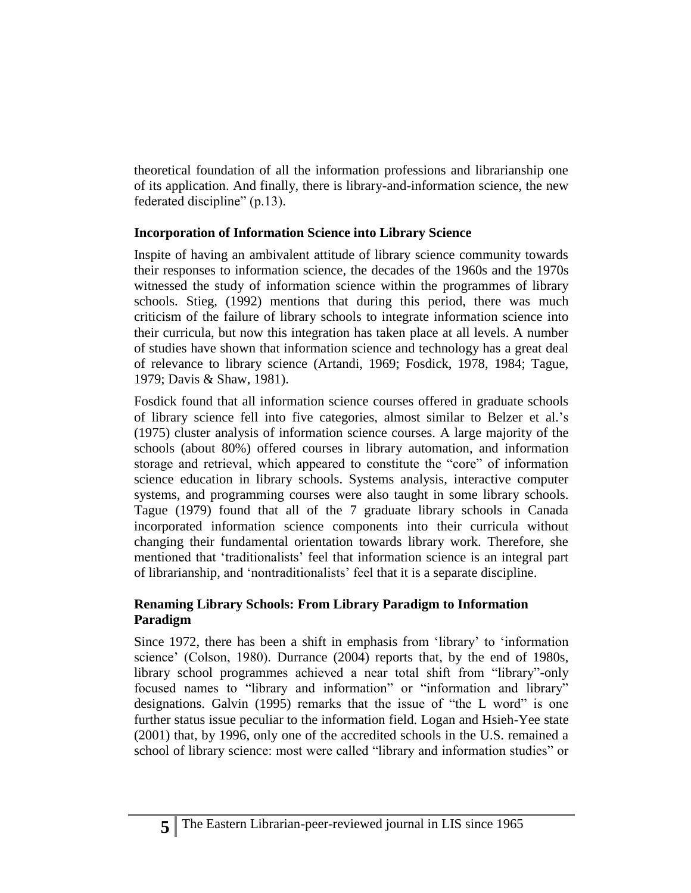theoretical foundation of all the information professions and librarianship one of its application. And finally, there is library-and-information science, the new federated discipline" (p.13).

### **Incorporation of Information Science into Library Science**

Inspite of having an ambivalent attitude of library science community towards their responses to information science, the decades of the 1960s and the 1970s witnessed the study of information science within the programmes of library schools. Stieg, (1992) mentions that during this period, there was much criticism of the failure of library schools to integrate information science into their curricula, but now this integration has taken place at all levels. A number of studies have shown that information science and technology has a great deal of relevance to library science (Artandi, 1969; Fosdick, 1978, 1984; Tague, 1979; Davis & Shaw, 1981).

Fosdick found that all information science courses offered in graduate schools of library science fell into five categories, almost similar to Belzer et al.'s (1975) cluster analysis of information science courses. A large majority of the schools (about 80%) offered courses in library automation, and information storage and retrieval, which appeared to constitute the "core" of information science education in library schools. Systems analysis, interactive computer systems, and programming courses were also taught in some library schools. Tague (1979) found that all of the 7 graduate library schools in Canada incorporated information science components into their curricula without changing their fundamental orientation towards library work. Therefore, she mentioned that 'traditionalists' feel that information science is an integral part of librarianship, and 'nontraditionalists' feel that it is a separate discipline.

### **Renaming Library Schools: From Library Paradigm to Information Paradigm**

Since 1972, there has been a shift in emphasis from 'library' to 'information science' (Colson, 1980). Durrance (2004) reports that, by the end of 1980s, library school programmes achieved a near total shift from "library"-only focused names to "library and information" or "information and library" designations. Galvin (1995) remarks that the issue of "the L word" is one further status issue peculiar to the information field. Logan and Hsieh-Yee state (2001) that, by 1996, only one of the accredited schools in the U.S. remained a school of library science: most were called "library and information studies" or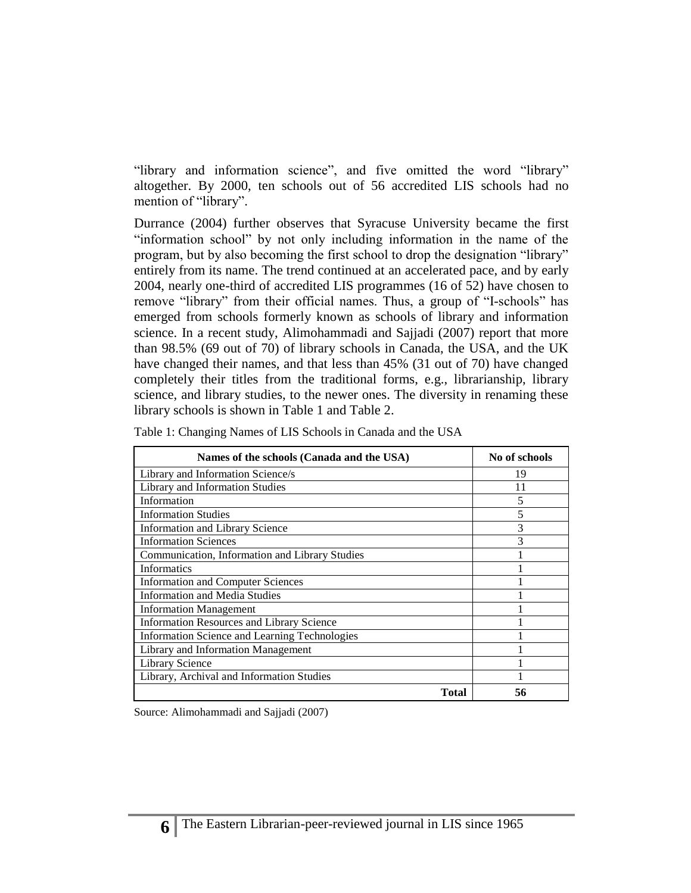"library and information science", and five omitted the word "library" altogether. By 2000, ten schools out of 56 accredited LIS schools had no mention of "library".

Durrance (2004) further observes that Syracuse University became the first "information school" by not only including information in the name of the program, but by also becoming the first school to drop the designation "library" entirely from its name. The trend continued at an accelerated pace, and by early 2004, nearly one-third of accredited LIS programmes (16 of 52) have chosen to remove "library" from their official names. Thus, a group of "I-schools" has emerged from schools formerly known as schools of library and information science. In a recent study, Alimohammadi and Sajjadi (2007) report that more than 98.5% (69 out of 70) of library schools in Canada, the USA, and the UK have changed their names, and that less than 45% (31 out of 70) have changed completely their titles from the traditional forms, e.g., librarianship, library science, and library studies, to the newer ones. The diversity in renaming these library schools is shown in Table 1 and Table 2.

| Names of the schools (Canada and the USA)        | No of schools |
|--------------------------------------------------|---------------|
| Library and Information Science/s                | 19            |
| Library and Information Studies                  | 11            |
| Information                                      | 5             |
| <b>Information Studies</b>                       | 5             |
| <b>Information and Library Science</b>           | 3             |
| <b>Information Sciences</b>                      | 3             |
| Communication, Information and Library Studies   |               |
| <b>Informatics</b>                               |               |
| <b>Information and Computer Sciences</b>         |               |
| <b>Information and Media Studies</b>             |               |
| <b>Information Management</b>                    |               |
| <b>Information Resources and Library Science</b> |               |
| Information Science and Learning Technologies    |               |
| Library and Information Management               |               |
| Library Science                                  |               |
| Library, Archival and Information Studies        |               |
| Total                                            | 56            |

Table 1: Changing Names of LIS Schools in Canada and the USA

Source: Alimohammadi and Sajjadi (2007)

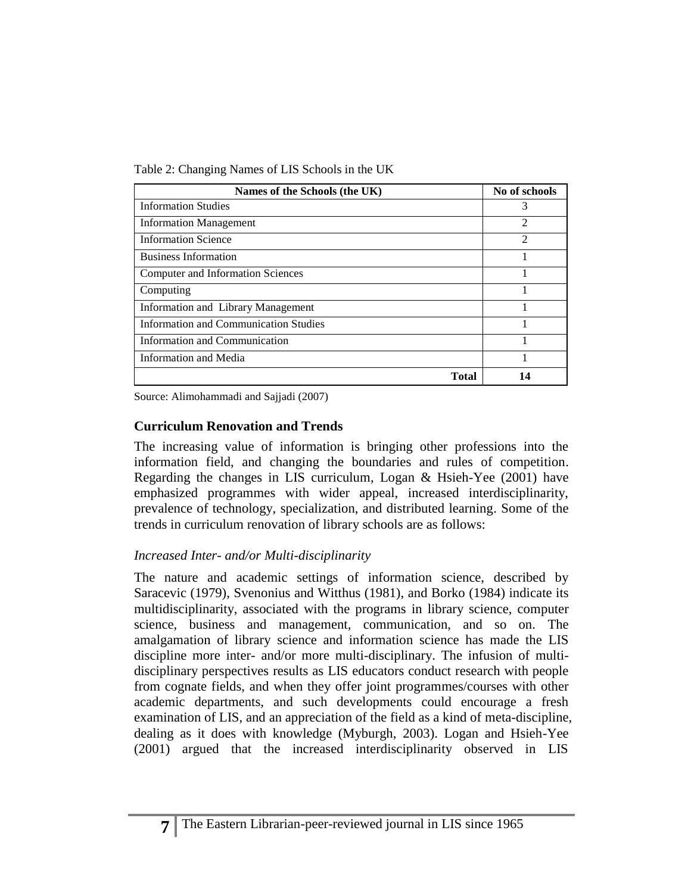Table 2: Changing Names of LIS Schools in the UK

| Names of the Schools (the UK)                | No of schools  |
|----------------------------------------------|----------------|
| <b>Information Studies</b>                   | 3              |
| <b>Information Management</b>                | $\mathfrak{D}$ |
| <b>Information Science</b>                   | $\mathfrak{D}$ |
| <b>Business Information</b>                  |                |
| Computer and Information Sciences            |                |
| Computing                                    |                |
| Information and Library Management           |                |
| <b>Information and Communication Studies</b> |                |
| <b>Information and Communication</b>         |                |
| Information and Media                        |                |
| <b>Total</b>                                 | 14             |

Source: Alimohammadi and Sajjadi (2007)

## **Curriculum Renovation and Trends**

The increasing value of information is bringing other professions into the information field, and changing the boundaries and rules of competition. Regarding the changes in LIS curriculum, Logan & Hsieh-Yee (2001) have emphasized programmes with wider appeal, increased interdisciplinarity, prevalence of technology, specialization, and distributed learning. Some of the trends in curriculum renovation of library schools are as follows:

## *Increased Inter- and/or Multi-disciplinarity*

The nature and academic settings of information science, described by Saracevic (1979), Svenonius and Witthus (1981), and Borko (1984) indicate its multidisciplinarity, associated with the programs in library science, computer science, business and management, communication, and so on. The amalgamation of library science and information science has made the LIS discipline more inter- and/or more multi-disciplinary. The infusion of multidisciplinary perspectives results as LIS educators conduct research with people from cognate fields, and when they offer joint programmes/courses with other academic departments, and such developments could encourage a fresh examination of LIS, and an appreciation of the field as a kind of meta-discipline, dealing as it does with knowledge (Myburgh, 2003). Logan and Hsieh-Yee (2001) argued that the increased interdisciplinarity observed in LIS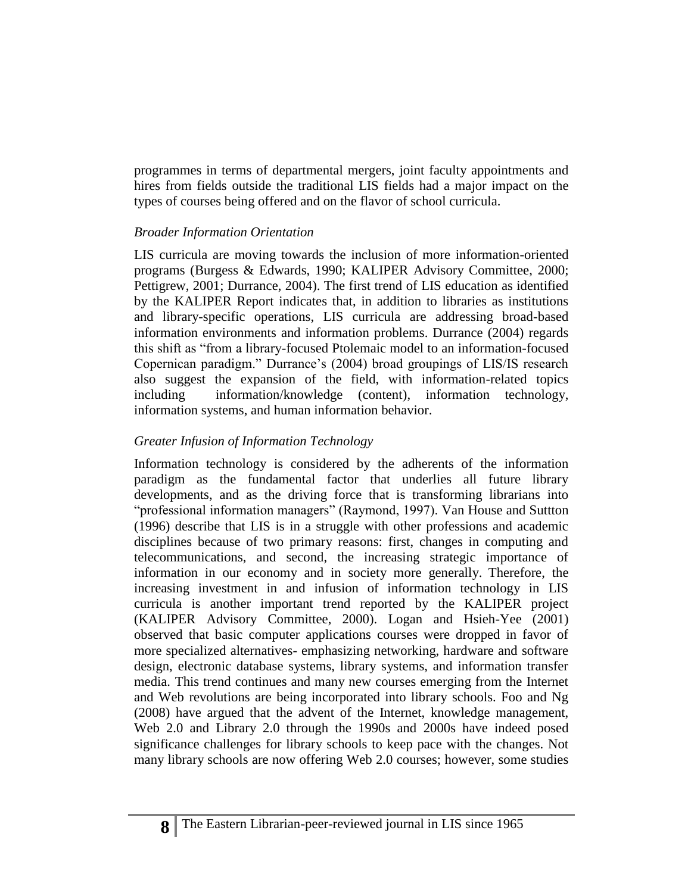programmes in terms of departmental mergers, joint faculty appointments and hires from fields outside the traditional LIS fields had a major impact on the types of courses being offered and on the flavor of school curricula.

### *Broader Information Orientation*

LIS curricula are moving towards the inclusion of more information-oriented programs (Burgess & Edwards, 1990; KALIPER Advisory Committee, 2000; Pettigrew, 2001; Durrance, 2004). The first trend of LIS education as identified by the KALIPER Report indicates that, in addition to libraries as institutions and library-specific operations, LIS curricula are addressing broad-based information environments and information problems. Durrance (2004) regards this shift as "from a library-focused Ptolemaic model to an information-focused Copernican paradigm." Durrance's (2004) broad groupings of LIS/IS research also suggest the expansion of the field, with information-related topics including information/knowledge (content), information technology, information systems, and human information behavior.

### *Greater Infusion of Information Technology*

Information technology is considered by the adherents of the information paradigm as the fundamental factor that underlies all future library developments, and as the driving force that is transforming librarians into "professional information managers" (Raymond, 1997). Van House and Suttton (1996) describe that LIS is in a struggle with other professions and academic disciplines because of two primary reasons: first, changes in computing and telecommunications, and second, the increasing strategic importance of information in our economy and in society more generally. Therefore, the increasing investment in and infusion of information technology in LIS curricula is another important trend reported by the KALIPER project (KALIPER Advisory Committee, 2000). Logan and Hsieh-Yee (2001) observed that basic computer applications courses were dropped in favor of more specialized alternatives- emphasizing networking, hardware and software design, electronic database systems, library systems, and information transfer media. This trend continues and many new courses emerging from the Internet and Web revolutions are being incorporated into library schools. Foo and Ng (2008) have argued that the advent of the Internet, knowledge management, Web 2.0 and Library 2.0 through the 1990s and 2000s have indeed posed significance challenges for library schools to keep pace with the changes. Not many library schools are now offering Web 2.0 courses; however, some studies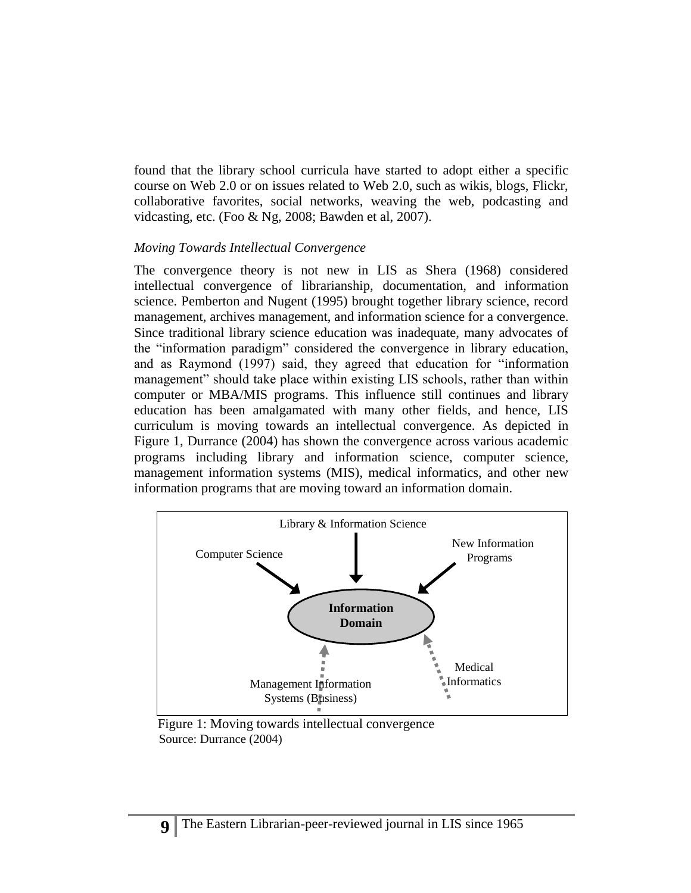found that the library school curricula have started to adopt either a specific course on Web 2.0 or on issues related to Web 2.0, such as wikis, blogs, Flickr, collaborative favorites, social networks, weaving the web, podcasting and vidcasting, etc. (Foo & Ng, 2008; Bawden et al, 2007).

#### *Moving Towards Intellectual Convergence*

The convergence theory is not new in LIS as Shera (1968) considered intellectual convergence of librarianship, documentation, and information science. Pemberton and Nugent (1995) brought together library science, record management, archives management, and information science for a convergence. Since traditional library science education was inadequate, many advocates of the "information paradigm" considered the convergence in library education, and as Raymond (1997) said, they agreed that education for "information management" should take place within existing LIS schools, rather than within computer or MBA/MIS programs. This influence still continues and library education has been amalgamated with many other fields, and hence, LIS curriculum is moving towards an intellectual convergence. As depicted in Figure 1, Durrance (2004) has shown the convergence across various academic programs including library and information science, computer science, management information systems (MIS), medical informatics, and other new information programs that are moving toward an information domain.



 Figure 1: Moving towards intellectual convergence Source: Durrance (2004)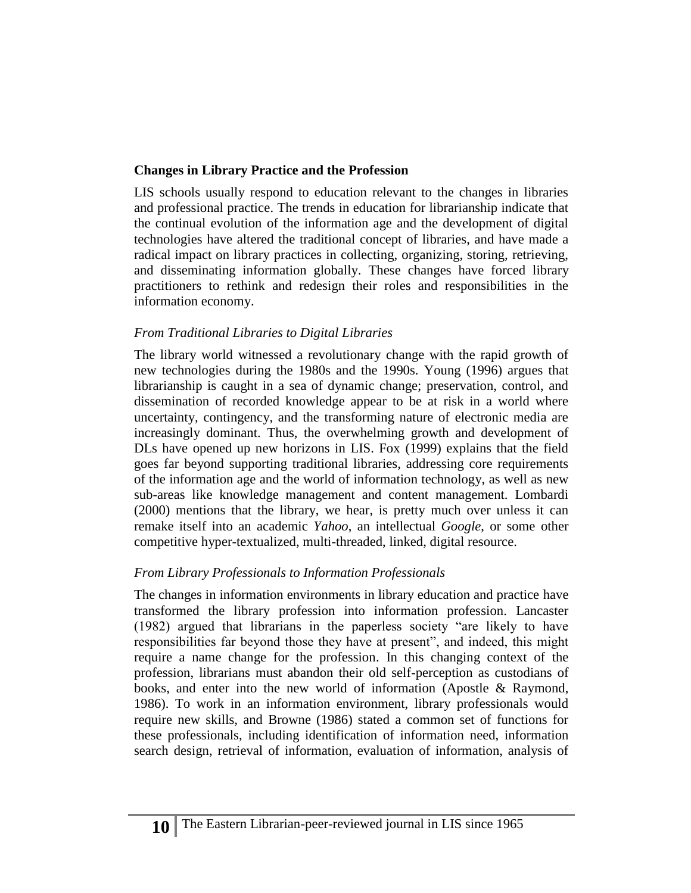## **Changes in Library Practice and the Profession**

LIS schools usually respond to education relevant to the changes in libraries and professional practice. The trends in education for librarianship indicate that the continual evolution of the information age and the development of digital technologies have altered the traditional concept of libraries, and have made a radical impact on library practices in collecting, organizing, storing, retrieving, and disseminating information globally. These changes have forced library practitioners to rethink and redesign their roles and responsibilities in the information economy.

## *From Traditional Libraries to Digital Libraries*

The library world witnessed a revolutionary change with the rapid growth of new technologies during the 1980s and the 1990s. Young (1996) argues that librarianship is caught in a sea of dynamic change; preservation, control, and dissemination of recorded knowledge appear to be at risk in a world where uncertainty, contingency, and the transforming nature of electronic media are increasingly dominant. Thus, the overwhelming growth and development of DLs have opened up new horizons in LIS. Fox (1999) explains that the field goes far beyond supporting traditional libraries, addressing core requirements of the information age and the world of information technology, as well as new sub-areas like knowledge management and content management. Lombardi (2000) mentions that the library, we hear, is pretty much over unless it can remake itself into an academic *Yahoo*, an intellectual *Google*, or some other competitive hyper-textualized, multi-threaded, linked, digital resource.

## *From Library Professionals to Information Professionals*

The changes in information environments in library education and practice have transformed the library profession into information profession. Lancaster (1982) argued that librarians in the paperless society "are likely to have responsibilities far beyond those they have at present", and indeed, this might require a name change for the profession. In this changing context of the profession, librarians must abandon their old self-perception as custodians of books, and enter into the new world of information (Apostle & Raymond, 1986). To work in an information environment, library professionals would require new skills, and Browne (1986) stated a common set of functions for these professionals, including identification of information need, information search design, retrieval of information, evaluation of information, analysis of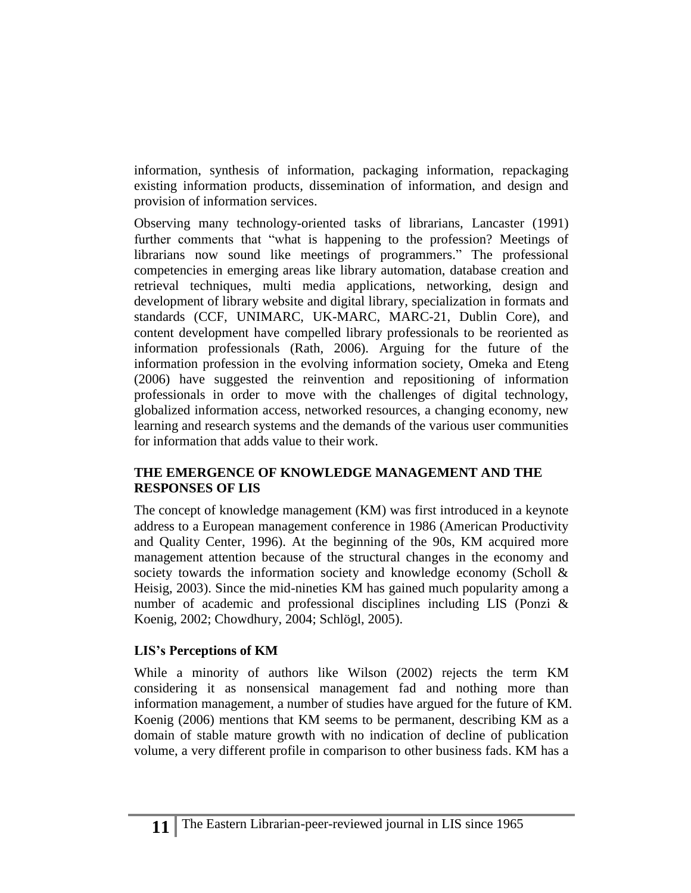information, synthesis of information, packaging information, repackaging existing information products, dissemination of information, and design and provision of information services.

Observing many technology-oriented tasks of librarians, Lancaster (1991) further comments that "what is happening to the profession? Meetings of librarians now sound like meetings of programmers." The professional competencies in emerging areas like library automation, database creation and retrieval techniques, multi media applications, networking, design and development of library website and digital library, specialization in formats and standards (CCF, UNIMARC, UK-MARC, MARC-21, Dublin Core), and content development have compelled library professionals to be reoriented as information professionals (Rath, 2006). Arguing for the future of the information profession in the evolving information society, Omeka and Eteng (2006) have suggested the reinvention and repositioning of information professionals in order to move with the challenges of digital technology, globalized information access, networked resources, a changing economy, new learning and research systems and the demands of the various user communities for information that adds value to their work.

## **THE EMERGENCE OF KNOWLEDGE MANAGEMENT AND THE RESPONSES OF LIS**

The concept of knowledge management (KM) was first introduced in a keynote address to a European management conference in 1986 (American Productivity and Quality Center, 1996). At the beginning of the 90s, KM acquired more management attention because of the structural changes in the economy and society towards the information society and knowledge economy (Scholl & Heisig, 2003). Since the mid-nineties KM has gained much popularity among a number of academic and professional disciplines including LIS (Ponzi & Koenig, 2002; Chowdhury, 2004; Schlögl, 2005).

## **LIS's Perceptions of KM**

While a minority of authors like Wilson (2002) rejects the term KM considering it as nonsensical management fad and nothing more than information management, a number of studies have argued for the future of KM. Koenig (2006) mentions that KM seems to be permanent, describing KM as a domain of stable mature growth with no indication of decline of publication volume, a very different profile in comparison to other business fads. KM has a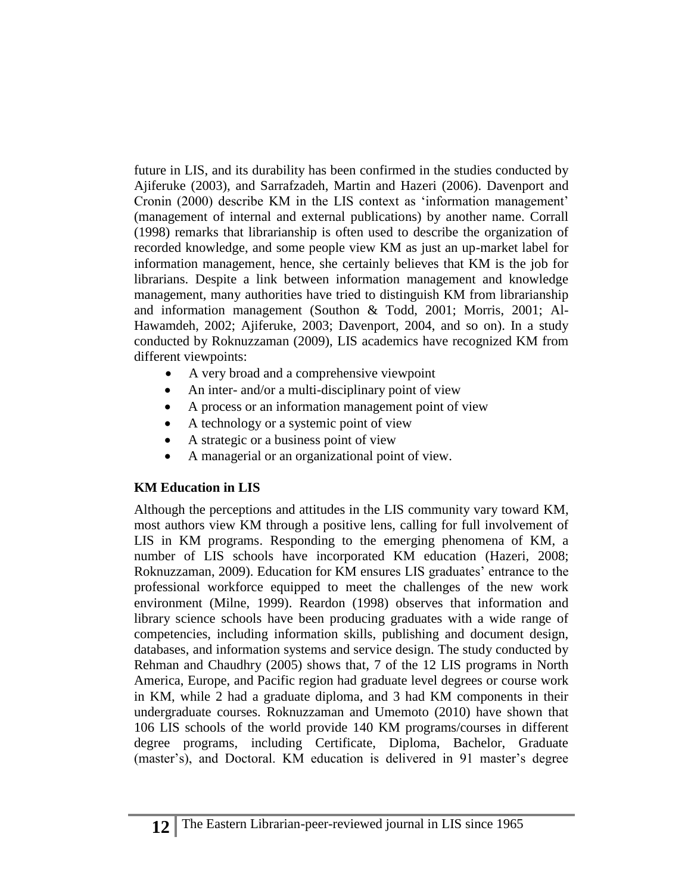future in LIS, and its durability has been confirmed in the studies conducted by Ajiferuke (2003), and Sarrafzadeh, Martin and Hazeri (2006). Davenport and Cronin (2000) describe KM in the LIS context as 'information management' (management of internal and external publications) by another name. Corrall (1998) remarks that librarianship is often used to describe the organization of recorded knowledge, and some people view KM as just an up-market label for information management, hence, she certainly believes that KM is the job for librarians. Despite a link between information management and knowledge management, many authorities have tried to distinguish KM from librarianship and information management (Southon & Todd, 2001; Morris, 2001; Al-Hawamdeh, 2002; Ajiferuke, 2003; Davenport, 2004, and so on). In a study conducted by Roknuzzaman (2009), LIS academics have recognized KM from different viewpoints:

- A very broad and a comprehensive viewpoint
- An inter- and/or a multi-disciplinary point of view
- A process or an information management point of view
- A technology or a systemic point of view
- A strategic or a business point of view
- A managerial or an organizational point of view.

## **KM Education in LIS**

Although the perceptions and attitudes in the LIS community vary toward KM, most authors view KM through a positive lens, calling for full involvement of LIS in KM programs. Responding to the emerging phenomena of KM, a number of LIS schools have incorporated KM education (Hazeri, 2008; Roknuzzaman, 2009). Education for KM ensures LIS graduates' entrance to the professional workforce equipped to meet the challenges of the new work environment (Milne, 1999). Reardon (1998) observes that information and library science schools have been producing graduates with a wide range of competencies, including information skills, publishing and document design, databases, and information systems and service design. The study conducted by Rehman and Chaudhry (2005) shows that, 7 of the 12 LIS programs in North America, Europe, and Pacific region had graduate level degrees or course work in KM, while 2 had a graduate diploma, and 3 had KM components in their undergraduate courses. Roknuzzaman and Umemoto (2010) have shown that 106 LIS schools of the world provide 140 KM programs/courses in different degree programs, including Certificate, Diploma, Bachelor, Graduate (master's), and Doctoral. KM education is delivered in 91 master's degree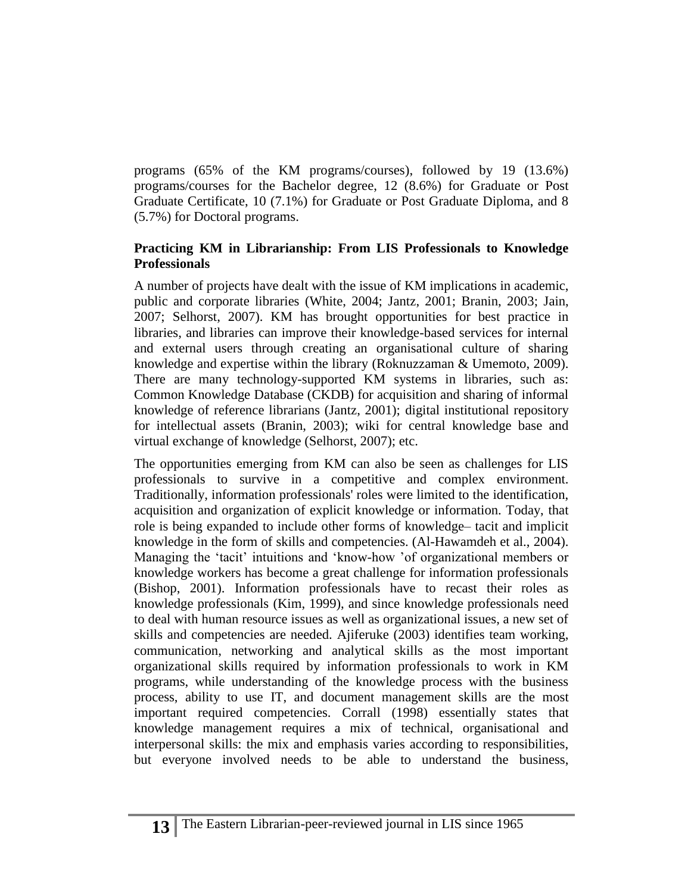programs (65% of the KM programs/courses), followed by 19 (13.6%) programs/courses for the Bachelor degree, 12 (8.6%) for Graduate or Post Graduate Certificate, 10 (7.1%) for Graduate or Post Graduate Diploma, and 8 (5.7%) for Doctoral programs.

### **Practicing KM in Librarianship: From LIS Professionals to Knowledge Professionals**

A number of projects have dealt with the issue of KM implications in academic, public and corporate libraries (White, 2004; Jantz, 2001; Branin, 2003; Jain, 2007; Selhorst, 2007). KM has brought opportunities for best practice in libraries, and libraries can improve their knowledge-based services for internal and external users through creating an organisational culture of sharing knowledge and expertise within the library (Roknuzzaman & Umemoto, 2009). There are many technology-supported KM systems in libraries, such as: Common Knowledge Database (CKDB) for acquisition and sharing of informal knowledge of reference librarians (Jantz, 2001); digital institutional repository for intellectual assets (Branin, 2003); wiki for central knowledge base and virtual exchange of knowledge (Selhorst, 2007); etc.

The opportunities emerging from KM can also be seen as challenges for LIS professionals to survive in a competitive and complex environment. Traditionally, information professionals' roles were limited to the identification, acquisition and organization of explicit knowledge or information. Today, that role is being expanded to include other forms of knowledge– tacit and implicit knowledge in the form of skills and competencies. (Al-Hawamdeh et al., 2004). Managing the 'tacit' intuitions and 'know-how 'of organizational members or knowledge workers has become a great challenge for information professionals (Bishop, 2001). Information professionals have to recast their roles as knowledge professionals (Kim, 1999), and since knowledge professionals need to deal with human resource issues as well as organizational issues, a new set of skills and competencies are needed. Ajiferuke (2003) identifies team working, communication, networking and analytical skills as the most important organizational skills required by information professionals to work in KM programs, while understanding of the knowledge process with the business process, ability to use IT, and document management skills are the most important required competencies. Corrall (1998) essentially states that knowledge management requires a mix of technical, organisational and interpersonal skills: the mix and emphasis varies according to responsibilities, but everyone involved needs to be able to understand the business,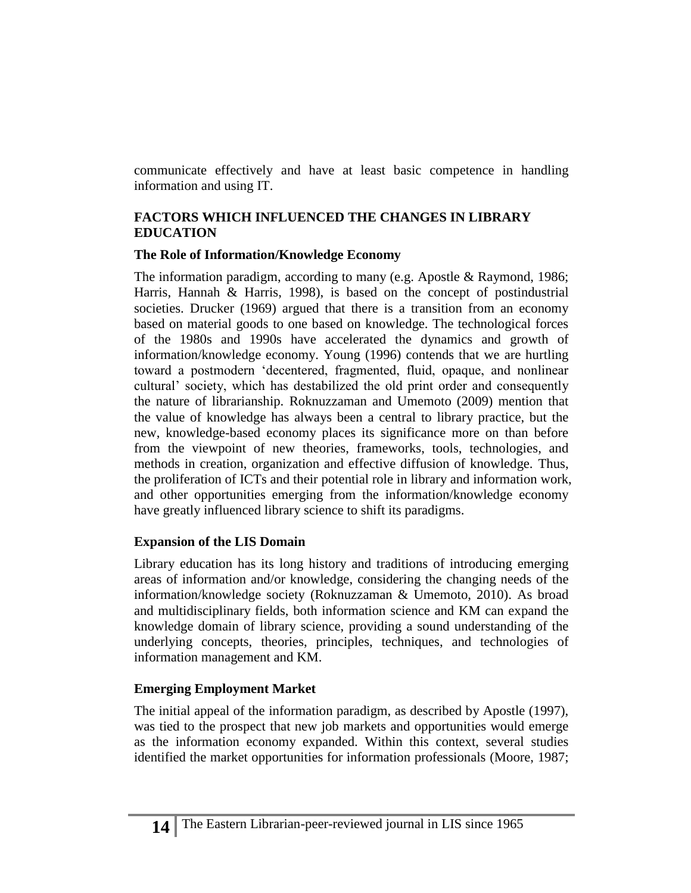communicate effectively and have at least basic competence in handling information and using IT.

### **FACTORS WHICH INFLUENCED THE CHANGES IN LIBRARY EDUCATION**

#### **The Role of Information/Knowledge Economy**

The information paradigm, according to many (e.g. Apostle & Raymond, 1986; Harris, Hannah & Harris, 1998), is based on the concept of postindustrial societies. Drucker (1969) argued that there is a transition from an economy based on material goods to one based on knowledge. The technological forces of the 1980s and 1990s have accelerated the dynamics and growth of information/knowledge economy. Young (1996) contends that we are hurtling toward a postmodern 'decentered, fragmented, fluid, opaque, and nonlinear cultural' society, which has destabilized the old print order and consequently the nature of librarianship. Roknuzzaman and Umemoto (2009) mention that the value of knowledge has always been a central to library practice, but the new, knowledge-based economy places its significance more on than before from the viewpoint of new theories, frameworks, tools, technologies, and methods in creation, organization and effective diffusion of knowledge. Thus, the proliferation of ICTs and their potential role in library and information work, and other opportunities emerging from the information/knowledge economy have greatly influenced library science to shift its paradigms.

### **Expansion of the LIS Domain**

Library education has its long history and traditions of introducing emerging areas of information and/or knowledge, considering the changing needs of the information/knowledge society (Roknuzzaman & Umemoto, 2010). As broad and multidisciplinary fields, both information science and KM can expand the knowledge domain of library science, providing a sound understanding of the underlying concepts, theories, principles, techniques, and technologies of information management and KM.

## **Emerging Employment Market**

The initial appeal of the information paradigm, as described by Apostle (1997), was tied to the prospect that new job markets and opportunities would emerge as the information economy expanded. Within this context, several studies identified the market opportunities for information professionals (Moore, 1987;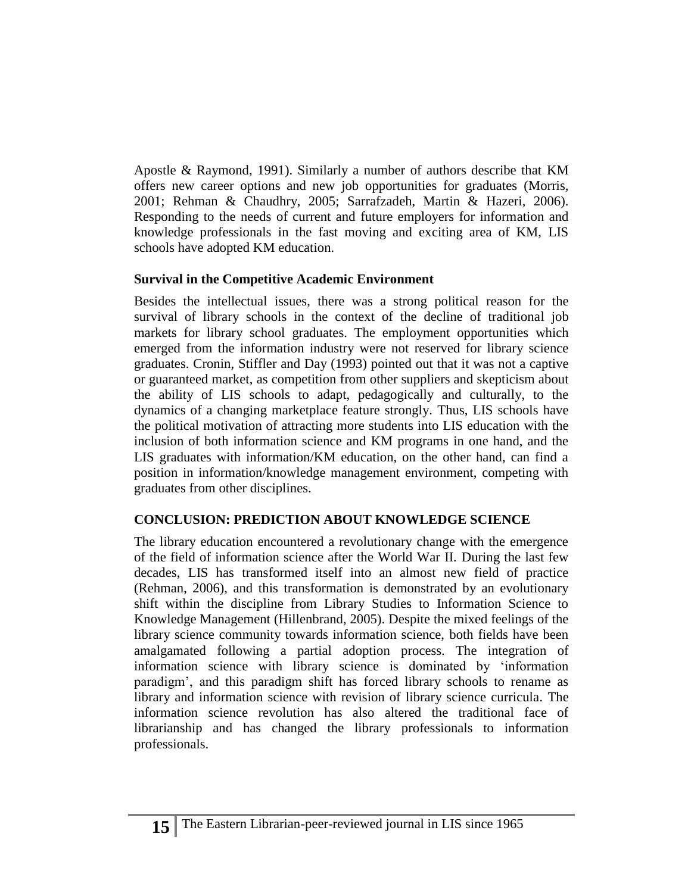Apostle & Raymond, 1991). Similarly a number of authors describe that KM offers new career options and new job opportunities for graduates (Morris, 2001; Rehman & Chaudhry, 2005; Sarrafzadeh, Martin & Hazeri, 2006). Responding to the needs of current and future employers for information and knowledge professionals in the fast moving and exciting area of KM, LIS schools have adopted KM education.

## **Survival in the Competitive Academic Environment**

Besides the intellectual issues, there was a strong political reason for the survival of library schools in the context of the decline of traditional job markets for library school graduates. The employment opportunities which emerged from the information industry were not reserved for library science graduates. Cronin, Stiffler and Day (1993) pointed out that it was not a captive or guaranteed market, as competition from other suppliers and skepticism about the ability of LIS schools to adapt, pedagogically and culturally, to the dynamics of a changing marketplace feature strongly. Thus, LIS schools have the political motivation of attracting more students into LIS education with the inclusion of both information science and KM programs in one hand, and the LIS graduates with information/KM education, on the other hand, can find a position in information/knowledge management environment, competing with graduates from other disciplines.

# **CONCLUSION: PREDICTION ABOUT KNOWLEDGE SCIENCE**

The library education encountered a revolutionary change with the emergence of the field of information science after the World War II. During the last few decades, LIS has transformed itself into an almost new field of practice (Rehman, 2006), and this transformation is demonstrated by an evolutionary shift within the discipline from Library Studies to Information Science to Knowledge Management (Hillenbrand, 2005). Despite the mixed feelings of the library science community towards information science, both fields have been amalgamated following a partial adoption process. The integration of information science with library science is dominated by 'information paradigm', and this paradigm shift has forced library schools to rename as library and information science with revision of library science curricula. The information science revolution has also altered the traditional face of librarianship and has changed the library professionals to information professionals.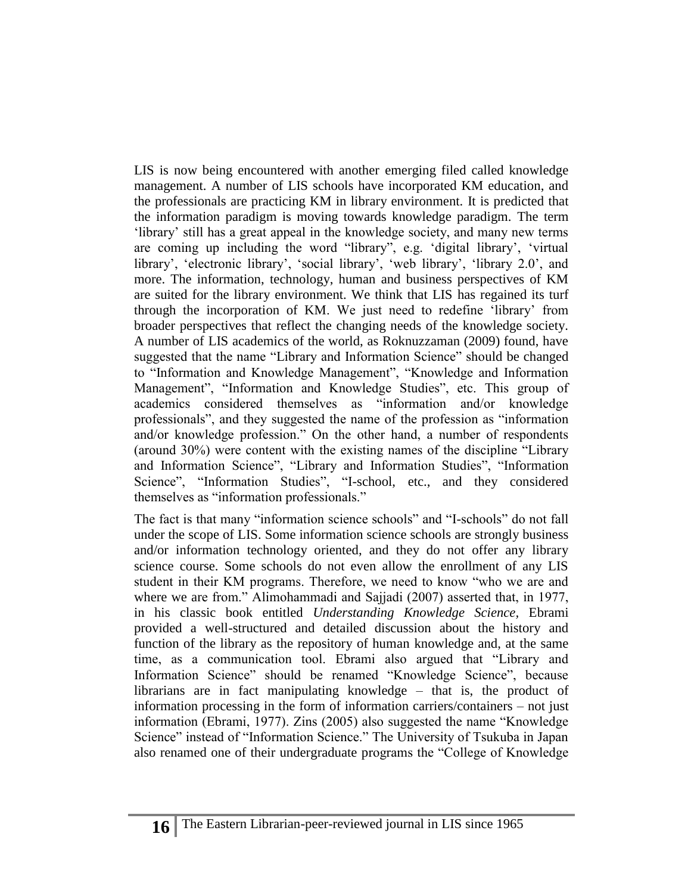LIS is now being encountered with another emerging filed called knowledge management. A number of LIS schools have incorporated KM education, and the professionals are practicing KM in library environment. It is predicted that the information paradigm is moving towards knowledge paradigm. The term 'library' still has a great appeal in the knowledge society, and many new terms are coming up including the word "library", e.g. 'digital library', 'virtual library', 'electronic library', 'social library', 'web library', 'library 2.0', and more. The information, technology, human and business perspectives of KM are suited for the library environment. We think that LIS has regained its turf through the incorporation of KM. We just need to redefine 'library' from broader perspectives that reflect the changing needs of the knowledge society. A number of LIS academics of the world, as Roknuzzaman (2009) found, have suggested that the name "Library and Information Science" should be changed to "Information and Knowledge Management", "Knowledge and Information Management", "Information and Knowledge Studies", etc. This group of academics considered themselves as "information and/or knowledge professionals", and they suggested the name of the profession as "information and/or knowledge profession." On the other hand, a number of respondents (around 30%) were content with the existing names of the discipline "Library and Information Science", "Library and Information Studies", "Information Science", "Information Studies", "I-school, etc., and they considered themselves as "information professionals."

The fact is that many "information science schools" and "I-schools" do not fall under the scope of LIS. Some information science schools are strongly business and/or information technology oriented, and they do not offer any library science course. Some schools do not even allow the enrollment of any LIS student in their KM programs. Therefore, we need to know "who we are and where we are from." Alimohammadi and Sajjadi (2007) asserted that, in 1977, in his classic book entitled *Understanding Knowledge Science,* Ebrami provided a well-structured and detailed discussion about the history and function of the library as the repository of human knowledge and, at the same time, as a communication tool. Ebrami also argued that "Library and Information Science" should be renamed "Knowledge Science", because librarians are in fact manipulating knowledge – that is, the product of information processing in the form of information carriers/containers – not just information (Ebrami, 1977). Zins (2005) also suggested the name "Knowledge Science" instead of "Information Science." The University of Tsukuba in Japan also renamed one of their undergraduate programs the "College of Knowledge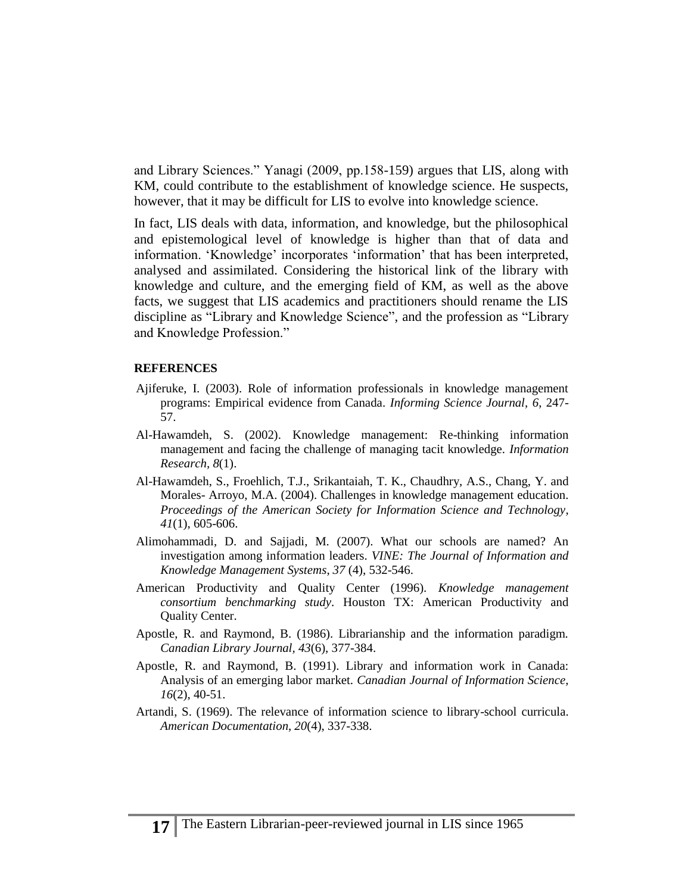and Library Sciences." Yanagi (2009, pp.158-159) argues that LIS, along with KM, could contribute to the establishment of knowledge science. He suspects, however, that it may be difficult for LIS to evolve into knowledge science.

In fact, LIS deals with data, information, and knowledge, but the philosophical and epistemological level of knowledge is higher than that of data and information. 'Knowledge' incorporates 'information' that has been interpreted, analysed and assimilated. Considering the historical link of the library with knowledge and culture, and the emerging field of KM, as well as the above facts, we suggest that LIS academics and practitioners should rename the LIS discipline as "Library and Knowledge Science", and the profession as "Library and Knowledge Profession."

#### **REFERENCES**

- Ajiferuke, I. (2003). Role of information professionals in knowledge management programs: Empirical evidence from Canada. *Informing Science Journal, 6*, 247- 57.
- Al-Hawamdeh, S. (2002). Knowledge management: Re-thinking information management and facing the challenge of managing tacit knowledge. *Information Research, 8*(1).
- Al-Hawamdeh, S., Froehlich, T.J., Srikantaiah, T. K., Chaudhry, A.S., Chang, Y. and Morales- Arroyo, M.A. (2004). Challenges in knowledge management education. *[Proceedings of the American Society for Information Science and Technology](http://www3.interscience.wiley.com/journal/109861970/home)*, *41*[\(1\),](http://www3.interscience.wiley.com/journal/112091799/issue) 605-606.
- Alimohammadi, D. and Sajjadi, M. (2007). What our schools are named? An investigation among information leaders. *VINE: The Journal of Information and Knowledge Management Systems*, *37* (4), 532-546.
- American Productivity and Quality Center (1996)*. Knowledge management consortium benchmarking study*. Houston TX: American Productivity and Quality Center.
- Apostle, R. and Raymond, B. (1986). Librarianship and the information paradigm. *Canadian Library Journal, 43*(6), 377-384.
- Apostle, R. and Raymond, B. (1991). Library and information work in Canada: Analysis of an emerging labor market. *Canadian Journal of Information Science, 16*(2), 40-51.
- Artandi, S. (1969). The relevance of information science to library-school curricula. *American Documentation*, *20*(4), 337-338.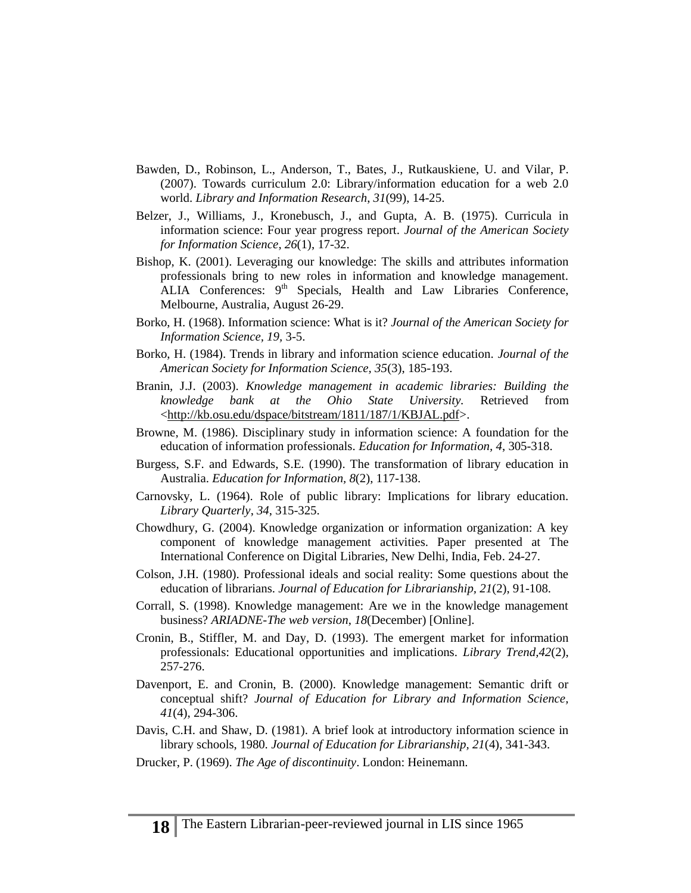- Bawden, D., Robinson, L., Anderson, T., Bates, J., Rutkauskiene, U. and Vilar, P. (2007). Towards curriculum 2.0: Library/information education for a web 2.0 world. *Library and Information Research*, *31*(99), 14-25.
- Belzer, J., Williams, J., Kronebusch, J., and Gupta, A. B. (1975). Curricula in information science: Four year progress report. *Journal of the American Society for Information Science*, *26*(1), 17-32.
- Bishop, K. (2001). Leveraging our knowledge: The skills and attributes information professionals bring to new roles in information and knowledge management. ALIA Conferences:  $9<sup>th</sup>$  Specials, Health and Law Libraries Conference, Melbourne, Australia, August 26-29.
- Borko, H. (1968). Information science: What is it? *Journal of the American Society for Information Science, 19,* 3-5.
- Borko, H. (1984). Trends in library and information science education. *Journal of the American Society for Information Science, 35*(3), 185-193.
- Branin, J.J. (2003). *Knowledge management in academic libraries: Building the knowledge bank at the Ohio State University.* Retrieved from [<http://kb.osu.edu/dspace/bitstream/1811/187/1/KBJAL.pdf>](http://kb.osu.edu/dspace/%20bitstream/1811/187/1/KBJAL.pdf).
- Browne, M. (1986). Disciplinary study in information science: A foundation for the education of information professionals. *Education for Information, 4*, 305-318.
- Burgess, S.F. and Edwards, S.E. (1990). The transformation of library education in Australia. *Education for Information, 8*(2), 117-138.
- Carnovsky, L. (1964). Role of public library: Implications for library education. *Library Quarterly*, *34*, 315-325.
- Chowdhury, G. (2004). Knowledge organization or information organization: A key component of knowledge management activities. Paper presented at The International Conference on Digital Libraries, New Delhi, India, Feb. 24-27.
- Colson, J.H. (1980). Professional ideals and social reality: Some questions about the education of librarians. *Journal of Education for Librarianship, 21*(2), 91-108.
- Corrall, S. (1998). Knowledge management: Are we in the knowledge management business? *ARIADNE-The web version*, *18*(December) [Online].
- Cronin, B., Stiffler, M. and Day, D. (1993). The emergent market for information professionals: Educational opportunities and implications. *Library Trend,42*(2), 257-276.
- Davenport, E. and Cronin, B. (2000). Knowledge management: Semantic drift or conceptual shift? *Journal of Education for Library and Information Science, 41*(4), 294-306.
- Davis, C.H. and Shaw, D. (1981). A brief look at introductory information science in library schools, 1980. *Journal of Education for Librarianship, 21*(4), 341-343.
- Drucker, P. (1969). *The Age of discontinuity*. London: Heinemann.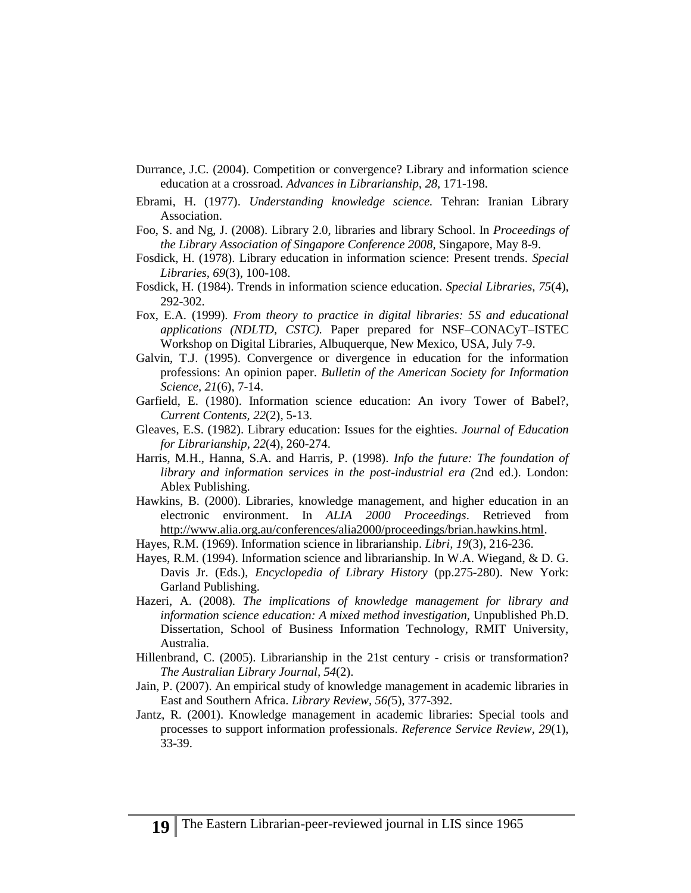- Durrance, J.C. (2004). Competition or convergence? Library and information science education at a crossroad. *Advances in Librarianship, 28,* 171-198.
- Ebrami, H. (1977). *Understanding knowledge science.* Tehran: Iranian Library Association.
- Foo, S. and Ng, J. (2008). Library 2.0, libraries and library School. In *Proceedings of the Library Association of Singapore Conference 2008*, Singapore, May 8-9.
- Fosdick, H. (1978). Library education in information science: Present trends. *Special Libraries, 69*(3), 100-108.
- Fosdick, H. (1984). Trends in information science education. *Special Libraries, 75*(4), 292-302.
- Fox, E.A. (1999). *From theory to practice in digital libraries: 5S and educational applications (NDLTD, CSTC).* Paper prepared for NSF–CONACyT–ISTEC Workshop on Digital Libraries, Albuquerque, New Mexico, USA, July 7-9.
- Galvin, T.J. (1995). Convergence or divergence in education for the information professions: An opinion paper. *Bulletin of the American Society for Information Science, 21*(6), 7-14.
- Garfield, E. (1980). Information science education: An ivory Tower of Babel?, *Current Contents, 22*(2), 5-13.
- Gleaves, E.S. (1982). Library education: Issues for the eighties. *Journal of Education for Librarianship*, *22*(4), 260-274.
- Harris, M.H., Hanna, S.A. and Harris, P. (1998). *Info the future: The foundation of library and information services in the post-industrial era (*2nd ed.). London: Ablex Publishing.
- Hawkins, B. (2000). Libraries, knowledge management, and higher education in an electronic environment. In *ALIA 2000 Proceedings*. Retrieved from [http://www.alia.org.au/conferences/alia2000/proceedings/brian.hawkins.html.](http://www.alia.org.au/conferences/alia2000/proceedings/brian.hawkins.html)
- Hayes, R.M. (1969). Information science in librarianship. *Libri, 19*(3), 216-236.
- Hayes, R.M. (1994). Information science and librarianship. In W.A. Wiegand, & D. G. Davis Jr. (Eds.), *Encyclopedia of Library History* (pp.275-280). New York: Garland Publishing.
- Hazeri, A. (2008). *The implications of knowledge management for library and information science education: A mixed method investigation,* Unpublished Ph.D. Dissertation, School of Business Information Technology, RMIT University, Australia.
- Hillenbrand, C. (2005). Librarianship in the 21st century crisis or transformation? *The Australian Library Journal, 54*(2).
- Jain, P. (2007). An empirical study of knowledge management in academic libraries in East and Southern Africa. *Library Review, 56(*5), 377-392.
- Jantz, R. (2001). Knowledge management in academic libraries: Special tools and processes to support information professionals. *Reference Service Review*, *29*(1), 33-39.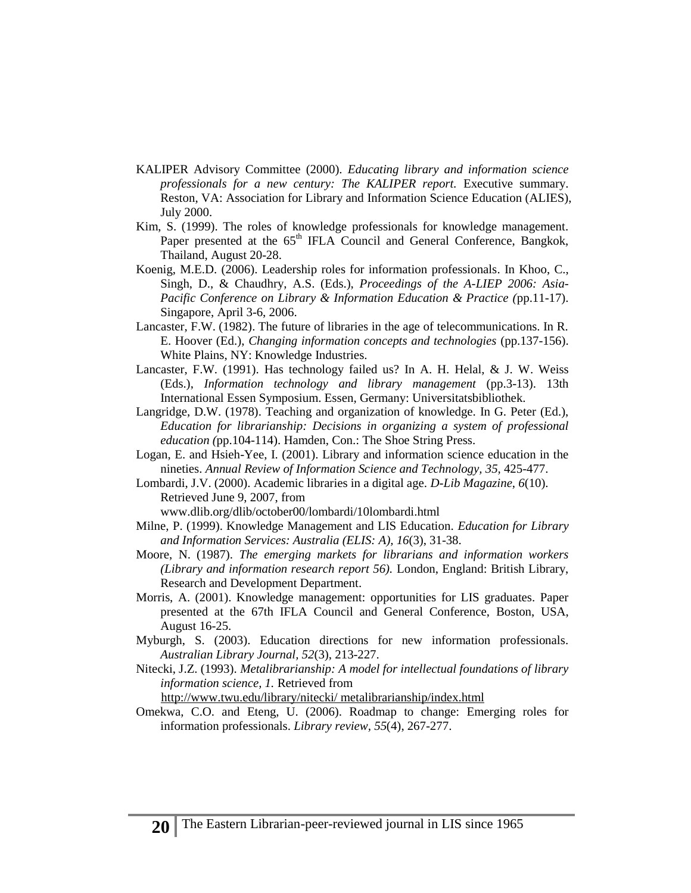- KALIPER Advisory Committee (2000). *Educating library and information science professionals for a new century: The KALIPER report.* Executive summary. Reston, VA: Association for Library and Information Science Education (ALIES), July 2000.
- Kim, S. (1999). The roles of knowledge professionals for knowledge management. Paper presented at the 65<sup>th</sup> IFLA Council and General Conference, Bangkok, Thailand, August 20-28.
- Koenig, M.E.D. (2006). Leadership roles for information professionals. In Khoo, C., Singh, D., & Chaudhry, A.S. (Eds.), *Proceedings of the A-LIEP 2006: Asia-Pacific Conference on Library & Information Education & Practice (*pp.11-17). Singapore, April 3-6, 2006.
- Lancaster, F.W. (1982). The future of libraries in the age of telecommunications. In R. E. Hoover (Ed.), *Changing information concepts and technologies* (pp.137-156). White Plains, NY: Knowledge Industries.
- Lancaster, F.W. (1991). Has technology failed us? In A. H. Helal, & J. W. Weiss (Eds.), *Information technology and library management* (pp.3-13). 13th International Essen Symposium. Essen, Germany: Universitatsbibliothek.
- Langridge, D.W. (1978). Teaching and organization of knowledge. In G. Peter (Ed.), *Education for librarianship: Decisions in organizing a system of professional education (*pp.104-114). Hamden, Con.: The Shoe String Press.
- Logan, E. and Hsieh-Yee, I. (2001). Library and information science education in the nineties. *Annual Review of Information Science and Technology, 35,* 425-477.
- Lombardi, J.V. (2000). Academic libraries in a digital age. *D-Lib Magazine*, *6*(10). Retrieved June 9, 2007, from www.dlib.org/dlib/october00/lombardi/10lombardi.html
- Milne, P. (1999). Knowledge Management and LIS Education. *Education for Library and Information Services: Australia (ELIS: A), 16*(3), 31-38.
- Moore, N. (1987). *The emerging markets for librarians and information workers (Library and information research report 56).* London, England: British Library, Research and Development Department.
- Morris, A. (2001). Knowledge management: opportunities for LIS graduates. Paper presented at the 67th IFLA Council and General Conference, Boston, USA, August 16-25.
- Myburgh, S. (2003). Education directions for new information professionals. *Australian Library Journal, 52*(3), 213-227.
- Nitecki, J.Z. (1993). *Metalibrarianship: A model for intellectual foundations of library information science, 1.* Retrieved from

[http://www.twu.edu/library/nitecki/ metalibrarianship/index.html](http://www.twu.edu/library/nitecki/%20metalibrarianship/index.html)

Omekwa, C.O. and Eteng, U. (2006). Roadmap to change: Emerging roles for information professionals. *Library review, 55*(4), 267-277.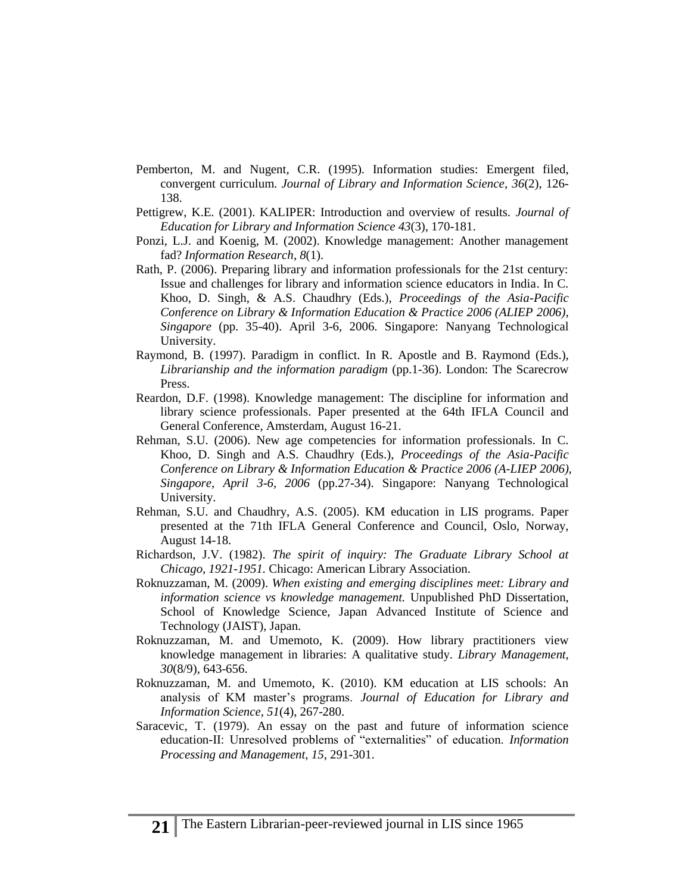- Pemberton, M. and Nugent, C.R. (1995). Information studies: Emergent filed, convergent curriculum. *Journal of Library and Information Science*, *36*(2), 126- 138.
- Pettigrew, K.E. (2001). KALIPER: Introduction and overview of results. *Journal of Education for Library and Information Science 43*(3), 170-181.
- Ponzi, L.J. and Koenig, M. (2002). Knowledge management: Another management fad? *Information Research*, *8*(1).
- Rath, P. (2006). Preparing library and information professionals for the 21st century: Issue and challenges for library and information science educators in India. In C. Khoo, D. Singh, & A.S. Chaudhry (Eds.), *Proceedings of the Asia-Pacific Conference on Library & Information Education & Practice 2006 (ALIEP 2006), Singapore* (pp. 35-40). April 3-6, 2006. Singapore: Nanyang Technological University.
- Raymond, B. (1997). Paradigm in conflict. In R. Apostle and B. Raymond (Eds.), *Librarianship and the information paradigm* (pp.1-36). London: The Scarecrow Press.
- Reardon, D.F. (1998). Knowledge management: The discipline for information and library science professionals. Paper presented at the 64th IFLA Council and General Conference, Amsterdam, August 16-21.
- Rehman, S.U. (2006). New age competencies for information professionals. In C. Khoo, D. Singh and A.S. Chaudhry (Eds.), *Proceedings of the Asia-Pacific Conference on Library & Information Education & Practice 2006 (A-LIEP 2006), Singapore, April 3-6, 2006* (pp.27-34). Singapore: Nanyang Technological University.
- Rehman, S.U. and Chaudhry, A.S. (2005). KM education in LIS programs. Paper presented at the 71th IFLA General Conference and Council, Oslo, Norway, August 14-18.
- Richardson, J.V. (1982). *The spirit of inquiry: The Graduate Library School at Chicago, 1921-1951.* Chicago: American Library Association.
- Roknuzzaman, M. (2009). *When existing and emerging disciplines meet: Library and information science vs knowledge management.* Unpublished PhD Dissertation, School of Knowledge Science, Japan Advanced Institute of Science and Technology (JAIST), Japan.
- Roknuzzaman, M. and Umemoto, K. (2009). How library practitioners view knowledge management in libraries: A qualitative study. *Library Management, 30*(8/9), 643-656.
- Roknuzzaman, M. and Umemoto, K. (2010). KM education at LIS schools: An analysis of KM master's programs. *Journal of Education for Library and Information Science, 51*(4), 267-280.
- Saracevic, T. (1979). An essay on the past and future of information science education-II: Unresolved problems of "externalities" of education. *Information Processing and Management, 15*, 291-301.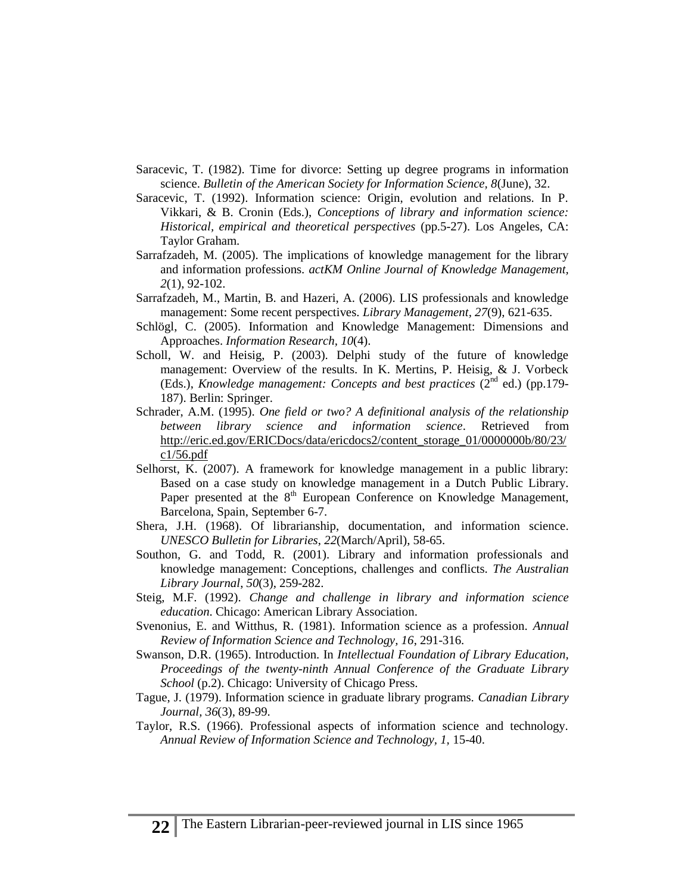- Saracevic, T. (1982). Time for divorce: Setting up degree programs in information science. *Bulletin of the American Society for Information Science, 8*(June), 32.
- Saracevic, T. (1992). Information science: Origin, evolution and relations. In P. Vikkari, & B. Cronin (Eds.), *Conceptions of library and information science: Historical, empirical and theoretical perspectives* (pp.5-27). Los Angeles, CA: Taylor Graham.
- Sarrafzadeh, M. (2005). The implications of knowledge management for the library and information professions. *actKM Online Journal of Knowledge Management, 2*(1), 92-102.
- Sarrafzadeh, M., Martin, B. and Hazeri, A. (2006). LIS professionals and knowledge management: Some recent perspectives. *Library Management, 27*(9), 621-635.
- Schlögl, C. (2005). Information and Knowledge Management: Dimensions and Approaches. *Information Research, 10*(4).
- Scholl, W. and Heisig, P. (2003). Delphi study of the future of knowledge management: Overview of the results. In K. Mertins, P. Heisig, & J. Vorbeck (Eds.), *Knowledge management: Concepts and best practices*  $(2^{nd}$  ed.) (pp.179-187). Berlin: Springer.
- Schrader, A.M. (1995). *One field or two? A definitional analysis of the relationship between library science and information science*. Retrieved from [http://eric.ed.gov/ERICDocs/data/ericdocs2/content\\_storage\\_01/0000000b/80/23/](http://eric.ed.gov/ERICDocs/data/ericdocs2/content_storage_01/0000000b/80/23/c1/56.pdf)  [c1/56.pdf](http://eric.ed.gov/ERICDocs/data/ericdocs2/content_storage_01/0000000b/80/23/c1/56.pdf)
- Selhorst, K. (2007). A framework for knowledge management in a public library: Based on a case study on knowledge management in a Dutch Public Library. Paper presented at the 8<sup>th</sup> European Conference on Knowledge Management, Barcelona, Spain, September 6-7.
- Shera, J.H. (1968). Of librarianship, documentation, and information science. *UNESCO Bulletin for Libraries*, *22*(March/April), 58-65.
- Southon, G. and Todd, R. (2001). Library and information professionals and knowledge management: Conceptions, challenges and conflicts. *The Australian Library Journal*, *50*(3), 259-282.
- Steig, M.F. (1992). *Change and challenge in library and information science education*. Chicago: American Library Association.
- Svenonius, E. and Witthus, R. (1981). Information science as a profession. *Annual Review of Information Science and Technology, 16*, 291-316.
- Swanson, D.R. (1965). Introduction. In *Intellectual Foundation of Library Education, Proceedings of the twenty-ninth Annual Conference of the Graduate Library School* (p.2). Chicago: University of Chicago Press.
- Tague, J. (1979). Information science in graduate library programs. *Canadian Library Journal, 36*(3), 89-99.
- Taylor, R.S. (1966). Professional aspects of information science and technology. *Annual Review of Information Science and Technology, 1,* 15-40.